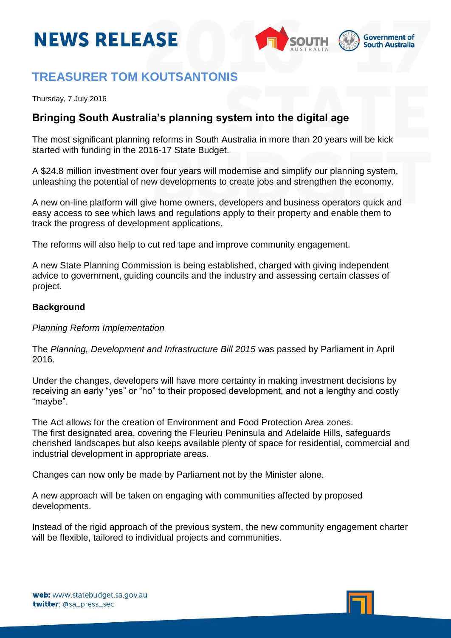# **NEWS RELEASE**



## **TREASURER TOM KOUTSANTONIS**

Thursday, 7 July 2016

### **Bringing South Australia's planning system into the digital age**

The most significant planning reforms in South Australia in more than 20 years will be kick started with funding in the 2016-17 State Budget.

A \$24.8 million investment over four years will modernise and simplify our planning system, unleashing the potential of new developments to create jobs and strengthen the economy.

A new on-line platform will give home owners, developers and business operators quick and easy access to see which laws and regulations apply to their property and enable them to track the progress of development applications.

The reforms will also help to cut red tape and improve community engagement.

A new State Planning Commission is being established, charged with giving independent advice to government, guiding councils and the industry and assessing certain classes of project.

#### **Background**

*Planning Reform Implementation*

The *Planning, Development and Infrastructure Bill 2015* was passed by Parliament in April 2016.

Under the changes, developers will have more certainty in making investment decisions by receiving an early "yes" or "no" to their proposed development, and not a lengthy and costly "maybe".

The Act allows for the creation of Environment and Food Protection Area zones. The first designated area, covering the Fleurieu Peninsula and Adelaide Hills, safeguards cherished landscapes but also keeps available plenty of space for residential, commercial and industrial development in appropriate areas.

Changes can now only be made by Parliament not by the Minister alone.

A new approach will be taken on engaging with communities affected by proposed developments.

Instead of the rigid approach of the previous system, the new community engagement charter will be flexible, tailored to individual projects and communities.